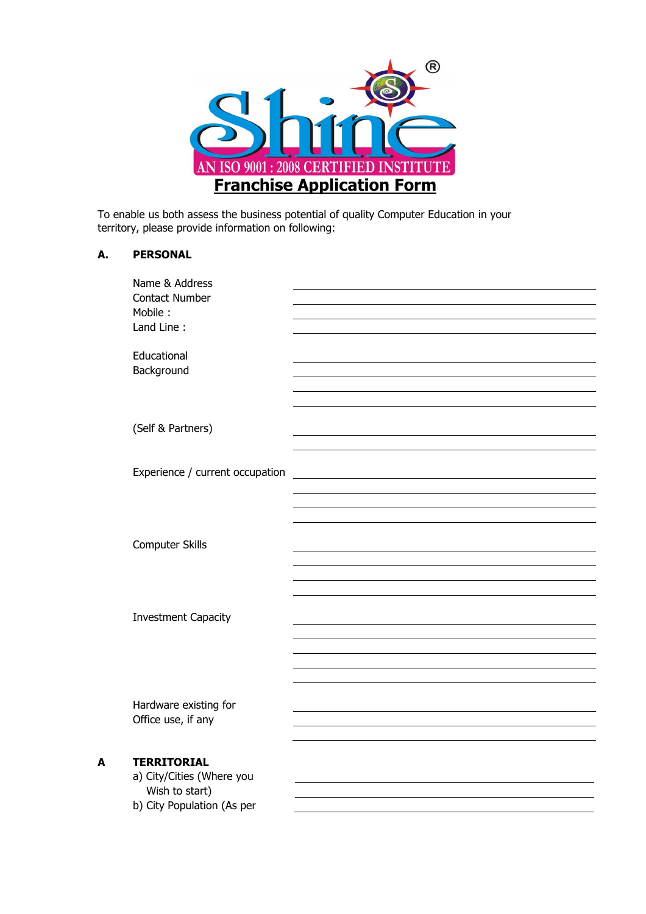

To enable us both assess the business potential of quality Computer Education in your territory, please provide information on following:

## **A. PERSONAL**

|   | Name & Address<br><b>Contact Number</b><br>Mobile:<br>Land Line:                                |  |
|---|-------------------------------------------------------------------------------------------------|--|
|   | Educational<br>Background                                                                       |  |
|   | (Self & Partners)                                                                               |  |
|   | Experience / current occupation                                                                 |  |
|   | Computer Skills                                                                                 |  |
|   | <b>Investment Capacity</b>                                                                      |  |
|   | Hardware existing for<br>Office use, if any                                                     |  |
| A | <b>TERRITORIAL</b><br>a) City/Cities (Where you<br>Wish to start)<br>b) City Population (As per |  |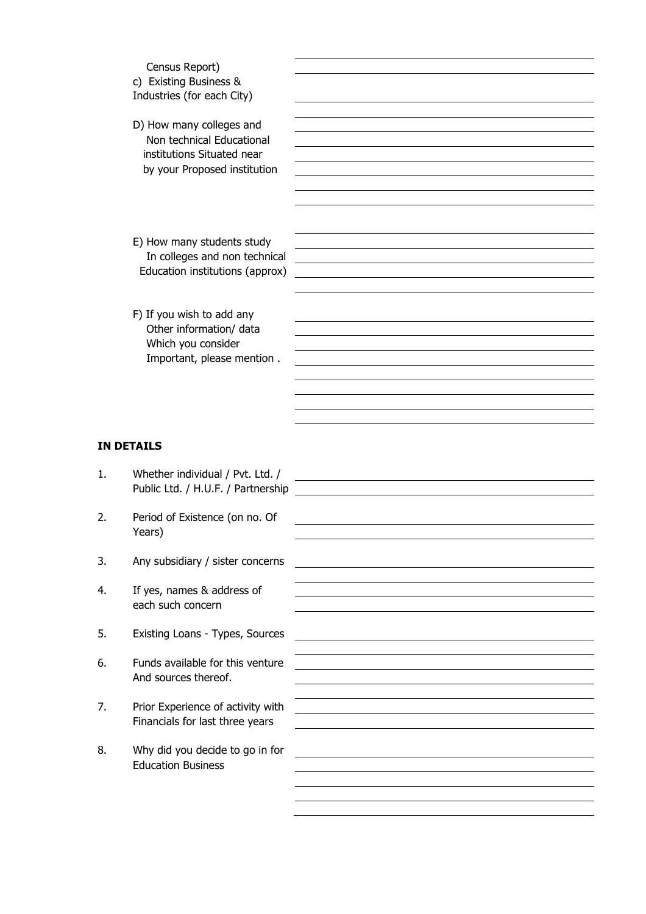|    | Census Report)<br>c) Existing Business &<br>Industries (for each City)                                              |  |
|----|---------------------------------------------------------------------------------------------------------------------|--|
|    | D) How many colleges and<br>Non technical Educational<br>institutions Situated near<br>by your Proposed institution |  |
|    | E) How many students study<br>In colleges and non technical<br>Education institutions (approx)                      |  |
|    | F) If you wish to add any<br>Other information/ data<br>Which you consider<br>Important, please mention.            |  |
|    | <b>IN DETAILS</b>                                                                                                   |  |
| 1. | Whether individual / Pvt. Ltd. /<br>Public Ltd. / H.U.F. / Partnership                                              |  |
| 2. | Period of Existence (on no. Of<br>Years)                                                                            |  |
| 3. | Any subsidiary / sister concerns                                                                                    |  |
| 4. | If yes, names & address of<br>each such concern                                                                     |  |
| 5. | Existing Loans - Types, Sources                                                                                     |  |
| 6. | Funds available for this venture<br>And sources thereof.                                                            |  |
| 7. | Prior Experience of activity with<br>Financials for last three years                                                |  |
| 8. | Why did you decide to go in for                                                                                     |  |

Education Business

 $\overline{3}$ .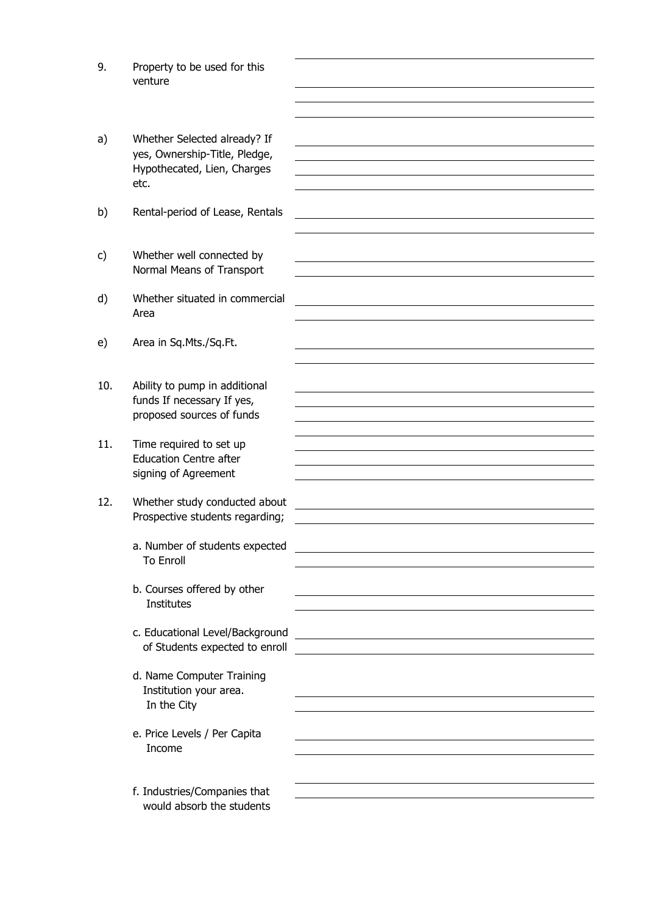- 9. Property to be used for this venture
- a) Whether Selected already? If yes, Ownership-Title, Pledge, Hypothecated, Lien, Charges etc.
- b) Rental-period of Lease, Rentals
- c) Whether well connected by Normal Means of Transport
- d) Whether situated in commercial Area
- e) Area in Sq.Mts./Sq.Ft.
- 10. Ability to pump in additional funds If necessary If yes, proposed sources of funds
- 11. Time required to set up Education Centre after signing of Agreement
- 12. Whether study conducted about Prospective students regarding;
	- a. Number of students expected To Enroll
	- b. Courses offered by other **Institutes**
	- c. Educational Level/Background of Students expected to enroll
	- d. Name Computer Training Institution your area. In the City
	- e. Price Levels / Per Capita Income
	- f. Industries/Companies that would absorb the students